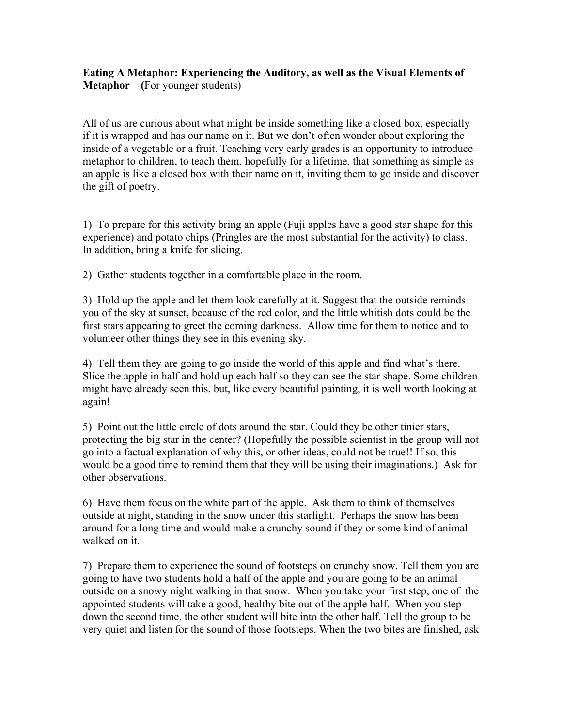## **Eating A Metaphor: Experiencing the Auditory, as well as the Visual Elements of Metaphor (**For younger students)

All of us are curious about what might be inside something like a closed box, especially if it is wrapped and has our name on it. But we don't often wonder about exploring the inside of a vegetable or a fruit. Teaching very early grades is an opportunity to introduce metaphor to children, to teach them, hopefully for a lifetime, that something as simple as an apple is like a closed box with their name on it, inviting them to go inside and discover the gift of poetry.

1) To prepare for this activity bring an apple (Fuji apples have a good star shape for this experience) and potato chips (Pringles are the most substantial for the activity) to class. In addition, bring a knife for slicing.

2) Gather students together in a comfortable place in the room.

3) Hold up the apple and let them look carefully at it. Suggest that the outside reminds you of the sky at sunset, because of the red color, and the little whitish dots could be the first stars appearing to greet the coming darkness. Allow time for them to notice and to volunteer other things they see in this evening sky.

4) Tell them they are going to go inside the world of this apple and find what's there. Slice the apple in half and hold up each half so they can see the star shape. Some children might have already seen this, but, like every beautiful painting, it is well worth looking at again!

5) Point out the little circle of dots around the star. Could they be other tinier stars, protecting the big star in the center? (Hopefully the possible scientist in the group will not go into a factual explanation of why this, or other ideas, could not be true!! If so, this would be a good time to remind them that they will be using their imaginations.) Ask for other observations.

6) Have them focus on the white part of the apple. Ask them to think of themselves outside at night, standing in the snow under this starlight. Perhaps the snow has been around for a long time and would make a crunchy sound if they or some kind of animal walked on it.

7) Prepare them to experience the sound of footsteps on crunchy snow. Tell them you are going to have two students hold a half of the apple and you are going to be an animal outside on a snowy night walking in that snow. When you take your first step, one of the appointed students will take a good, healthy bite out of the apple half. When you step down the second time, the other student will bite into the other half. Tell the group to be very quiet and listen for the sound of those footsteps. When the two bites are finished, ask